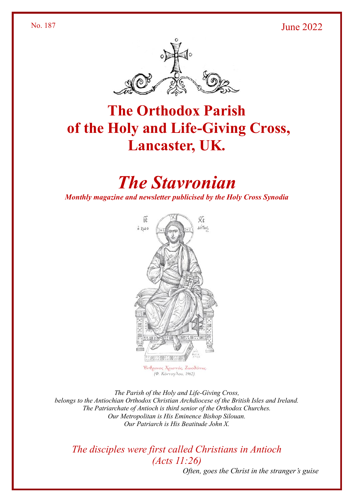#### No. 187 June 2022



# **The Orthodox Parish of the Holy and Life-Giving Cross, Lancaster, UK.**

# *The Stavronian*

*Monthly magazine and newsletter publicised by the Holy Cross Synodia*



Ενθρονος Χριστός, Ζωοδότης (Φ. Κόντογλου, 1962).

*The Parish of the Holy and Life-Giving Cross, belongs to the Antiochian Orthodox Christian Archdiocese of the British Isles and Ireland. The Patriarchate of Antioch is third senior of the Orthodox Churches. Our Metropolitan is His Eminence Bishop Silouan. Our Patriarch is His Beatitude John X.*

*The disciples were first called Christians in Antioch (Acts 11:26)*

*Often, goes the Christ in the stranger's guise*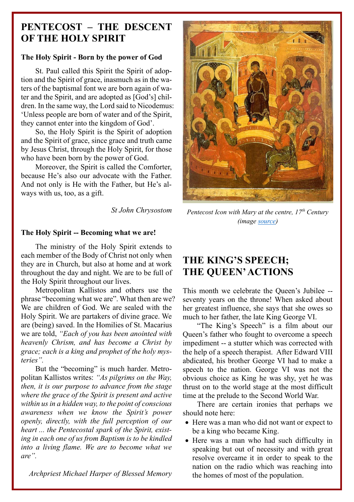## **PENTECOST – THE DESCENT OF THE HOLY SPIRIT**

#### **The Holy Spirit - Born by the power of God**

St. Paul called this Spirit the Spirit of adoption and the Spirit of grace, inasmuch as in the waters of the baptismal font we are born again of water and the Spirit, and are adopted as [God's] children. In the same way, the Lord said to Nicodemus: 'Unless people are born of water and of the Spirit, they cannot enter into the kingdom of God'.

So, the Holy Spirit is the Spirit of adoption and the Spirit of grace, since grace and truth came by Jesus Christ, through the Holy Spirit, for those who have been born by the power of God.

Moreover, the Spirit is called the Comforter, because He's also our advocate with the Father. And not only is He with the Father, but He's always with us, too, as a gift.

*St John Chrysostom*

*Pentecost Icon with Mary at the centre, 17th Century (image [source\)](https://iconreader.files.wordpress.com/2011/06/17c-assumption-cathedral-kem-rus.jpg)*

#### **The Holy Spirit -- Becoming what we are!**

The ministry of the Holy Spirit extends to each member of the Body of Christ not only when they are in Church, but also at home and at work throughout the day and night. We are to be full of the Holy Spirit throughout our lives.

Metropolitan Kallistos and others use the phrase "becoming what we are". What then are we? We are children of God. We are sealed with the Holy Spirit. We are partakers of divine grace. We are (being) saved. In the Homilies of St. Macarius we are told, *"Each of you has been anointed with heavenly Chrism, and has become a Christ by grace; each is a king and prophet of the holy mysteries".*

But the "becoming" is much harder. Metropolitan Kallistos writes: *"As pilgrims on the Way, then, it is our purpose to advance from the stage where the grace of the Spirit is present and active within us in a hidden way, to the point of conscious awareness when we know the Spirit's power openly, directly, with the full perception of our heart ... the Pentecostal spark of the Spirit, existing in each one of us from Baptism is to be kindled into a living flame. We are to become what we are".*

*Archpriest Michael Harper of Blessed Memory*

## **THE KING'S SPEECH; THE QUEEN'ACTIONS**

This month we celebrate the Queen's Jubilee - seventy years on the throne! When asked about her greatest influence, she says that she owes so much to her father, the late King George VI.

"The King's Speech" is a film about our Queen's father who fought to overcome a speech impediment -- a stutter which was corrected with the help of a speech therapist. After Edward VIII abdicated, his brother George VI had to make a speech to the nation. George VI was not the obvious choice as King he was shy, yet he was thrust on to the world stage at the most difficult time at the prelude to the Second World War.

There are certain ironies that perhaps we should note here:

- Here was a man who did not want or expect to be a king who became King.
- Here was a man who had such difficulty in speaking but out of necessity and with great resolve overcame it in order to speak to the nation on the radio which was reaching into the homes of most of the population.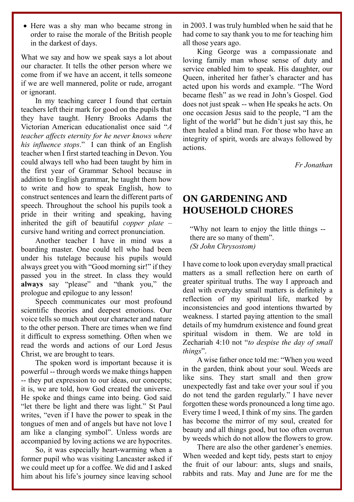• Here was a shy man who became strong in order to raise the morale of the British people in the darkest of days.

What we say and how we speak says a lot about our character. It tells the other person where we come from if we have an accent, it tells someone if we are well mannered, polite or rude, arrogant or ignorant.

In my teaching career I found that certain teachers left their mark for good on the pupils that they have taught. Henry Brooks Adams the Victorian American educationalist once said "*A teacher affects eternity for he never knows where his influence stops*." I can think of an English teacher when I first started teaching in Devon. You could always tell who had been taught by him in the first year of Grammar School because in addition to English grammar, he taught them how to write and how to speak English, how to construct sentences and learn the different parts of speech. Throughout the school his pupils took a pride in their writing and speaking, having inherited the gift of beautiful *copper plate* – cursive hand writing and correct pronunciation.

Another teacher I have in mind was a boarding master. One could tell who had been under his tutelage because his pupils would always greet you with "Good morning sir!" if they passed you in the street. In class they would **always** say "please" and "thank you," the prologue and epilogue to any lesson!

Speech communicates our most profound scientific theories and deepest emotions. Our voice tells so much about our character and nature to the other person. There are times when we find it difficult to express something. Often when we read the words and actions of our Lord Jesus Christ, we are brought to tears.

The spoken word is important because it is powerful -- through words we make things happen -- they put expression to our ideas, our concepts; it is, we are told, how God created the universe. He spoke and things came into being. God said "let there be light and there was light." St Paul writes, "even if I have the power to speak in the tongues of men and of angels but have not love I am like a clanging symbol". Unless words are accompanied by loving actions we are hypocrites.

So, it was especially heart-warming when a former pupil who was visiting Lancaster asked if we could meet up for a coffee. We did and I asked him about his life's journey since leaving school in 2003. I was truly humbled when he said that he had come to say thank you to me for teaching him all those years ago.

King George was a compassionate and loving family man whose sense of duty and service enabled him to speak. His daughter, our Queen, inherited her father's character and has acted upon his words and example. "The Word became flesh" as we read in John's Gospel. God does not just speak -- when He speaks he acts. On one occasion Jesus said to the people, "I am the light of the world" but he didn't just say this, he then healed a blind man. For those who have an integrity of spirit, words are always followed by actions.

*Fr Jonathan*

## **ON GARDENING AND HOUSEHOLD CHORES**

"Why not learn to enjoy the little things - there are so many of them". *(St John Chrysostom)*

I have come to look upon everyday small practical matters as a small reflection here on earth of greater spiritual truths. The way I approach and deal with everyday small matters is definitely a reflection of my spiritual life, marked by inconsistencies and good intentions thwarted by weakness. I started paying attention to the small details of my humdrum existence and found great spiritual wisdom in them. We are told in Zechariah 4:10 not "*to despise the day of small things*".

A wise father once told me: "When you weed in the garden, think about your soul. Weeds are like sins. They start small and then grow unexpectedly fast and take over your soul if you do not tend the garden regularly." I have never forgotten these words pronounced a long time ago. Every time I weed, I think of my sins. The garden has become the mirror of my soul, created for beauty and all things good, but too often overrun by weeds which do not allow the flowers to grow.

There are also the other gardener's enemies. When weeded and kept tidy, pests start to enjoy the fruit of our labour: ants, slugs and snails, rabbits and rats. May and June are for me the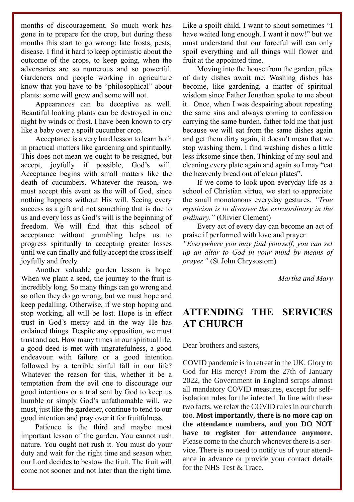months of discouragement. So much work has gone in to prepare for the crop, but during these months this start to go wrong: late frosts, pests, disease. I find it hard to keep optimistic about the outcome of the crops, to keep going, when the adversaries are so numerous and so powerful. Gardeners and people working in agriculture know that you have to be "philosophical" about plants: some will grow and some will not.

Appearances can be deceptive as well. Beautiful looking plants can be destroyed in one night by winds or frost. I have been known to cry like a baby over a spoilt cucumber crop.

Acceptance is a very hard lesson to learn both in practical matters like gardening and spiritually. This does not mean we ought to be resigned, but accept, joyfully if possible, God's will. Acceptance begins with small matters like the death of cucumbers. Whatever the reason, we must accept this event as the will of God, since nothing happens without His will. Seeing every success as a gift and not something that is due to us and every loss as God's will is the beginning of freedom. We will find that this school of acceptance without grumbling helps us to progress spiritually to accepting greater losses until we can finally and fully accept the cross itself joyfully and freely.

Another valuable garden lesson is hope. When we plant a seed, the journey to the fruit is incredibly long. So many things can go wrong and so often they do go wrong, but we must hope and keep pedalling. Otherwise, if we stop hoping and stop working, all will be lost. Hope is in effect trust in God's mercy and in the way He has ordained things. Despite any opposition, we must trust and act. How many times in our spiritual life, a good deed is met with ungratefulness, a good endeavour with failure or a good intention followed by a terrible sinful fall in our life? Whatever the reason for this, whether it be a temptation from the evil one to discourage our good intentions or a trial sent by God to keep us humble or simply God's unfathomable will, we must, just like the gardener, continue to tend to our good intention and pray over it for fruitfulness.

Patience is the third and maybe most important lesson of the garden. You cannot rush nature. You ought not rush it. You must do your duty and wait for the right time and season when our Lord decides to bestow the fruit. The fruit will come not sooner and not later than the right time.

Like a spoilt child, I want to shout sometimes "I have waited long enough. I want it now!" but we must understand that our forceful will can only spoil everything and all things will flower and fruit at the appointed time.

Moving into the house from the garden, piles of dirty dishes await me. Washing dishes has become, like gardening, a matter of spiritual wisdom since Father Jonathan spoke to me about it. Once, when I was despairing about repeating the same sins and always coming to confession carrying the same burden, father told me that just because we will eat from the same dishes again and get them dirty again, it doesn't mean that we stop washing them. I find washing dishes a little less irksome since then. Thinking of my soul and cleaning every plate again and again so I may "eat the heavenly bread out of clean plates".

If we come to look upon everyday life as a school of Christian virtue, we start to appreciate the small monotonous everyday gestures. *"True mysticism is to discover the extraordinary in the ordinary."* (Olivier Clement)

Every act of every day can become an act of praise if performed with love and prayer.

*"Everywhere you may find yourself, you can set up an altar to God in your mind by means of prayer."* (St John Chrysostom)

*Martha and Mary*

#### **ATTENDING THE SERVICES AT CHURCH**

Dear brothers and sisters,

COVID pandemic is in retreat in the UK. Glory to God for His mercy! From the 27th of January 2022, the Government in England scraps almost all mandatory COVID measures, except for selfisolation rules for the infected. In line with these two facts, we relax the COVID rules in our church too. **Most importantly, there is no more cap on the attendance numbers, and you DO NOT have to register for attendance anymore.** Please come to the church whenever there is a service. There is no need to notify us of your attendance in advance or provide your contact details for the NHS Test & Trace.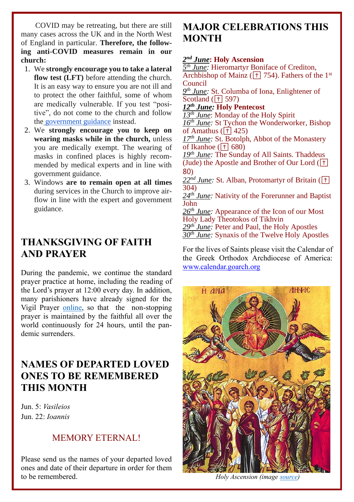COVID may be retreating, but there are still many cases across the UK and in the North West of England in particular. **Therefore, the following anti-COVID measures remain in our church:**

- 1. We **strongly encourage you to take a lateral flow test (LFT)** before attending the church. It is an easy way to ensure you are not ill and to protect the other faithful, some of whom are medically vulnerable. If you test "positive", do not come to the church and follow the [government guidance](https://www.nhs.uk/conditions/coronavirus-covid-19/testing/test-results/positive-test-result/) instead.
- 2. We **strongly encourage you to keep on wearing masks while in the church,** unless you are medically exempt. The wearing of masks in confined places is highly recommended by medical experts and in line with government guidance.
- 3. Windows **are to remain open at all times** during services in the Church to improve airflow in line with the expert and government guidance.

# **THANKSGIVING OF FAITH AND PRAYER**

During the pandemic, we continue the standard prayer practice at home, including the reading of the Lord's prayer at 12:00 every day. In addition, many parishioners have already signed for the Vigil Prayer [online,](https://docs.google.com/spreadsheets/d/1QagBKLCyxZJVtG8FX106QkrGMAXhf8u_GWVPiQEJXpk/edit?fbclid=IwAR3gc_jyjWQEnNlLixop_1TXfI5xbF00YJefTA1eoKqhTZcj5MLnI6r8t90#gid=2002126163) so that the non-stopping prayer is maintained by the faithful all over the world continuously for 24 hours, until the pandemic surrenders.

## **NAMES OF DEPARTED LOVED ONES TO BE REMEMBERED THIS MONTH**

Jun. 5: *Vasileios* Jun. 22: *Ioannis*

#### MEMORY ETERNAL!

Please send us the names of your departed loved ones and date of their departure in order for them to be remembered.

## **MAJOR CELEBRATIONS THIS MONTH**

#### *2 nd June***: Holy Ascension**

*5 June:* Hieromartyr Boniface of Crediton, Archbishop of Mainz ( $\boxed{+}$  754). Fathers of the 1<sup>st</sup> Council

*9 th June:* St. Columba of Iona, Enlightener of Scotland ( $\overline{+}$ ] 597)

#### *12th June:* **Holy Pentecost**

*13th June*: Monday of the Holy Spirit

*16 th June:* St Tychon the Wonderworker, Bishop of Amathus  $(\overrightarrow{+})$  425)

*17 th June:* St. Botolph, Abbot of the Monastery of Ikanhoe  $(\overline{+} 680)$ 

*19 th June:* The Sunday of All Saints. Thaddeus (Jude) the Apostle and Brother of Our Lord  $(\top)$ 80)

*22nd June:* St. Alban, Protomartyr of Britain (✝ 304)

24<sup>th</sup> June: Nativity of the Forerunner and Baptist John

26<sup>th</sup> June: Appearance of the Icon of our Most Holy Lady Theotokos of Tikhvin

*29 th June:* Peter and Paul, the Holy Apostles *30 th June:* Synaxis of the Twelve Holy Apostles

For the lives of Saints please visit the Calendar of the Greek Orthodox Archdiocese of America: [www.calendar.goarch.org](http://www.calendar.goarch.org/)



*Holy Ascension (image [source\)](https://www.goarch.org/ascension)*